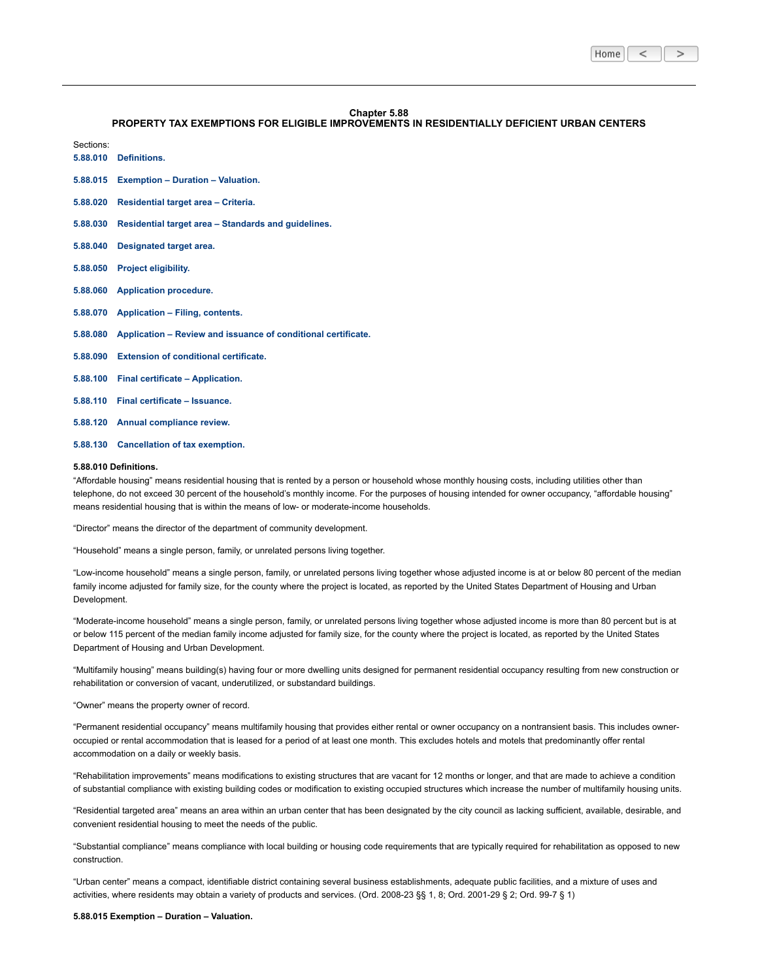| Home |  |  |
|------|--|--|
|------|--|--|

### **Chapter 5.88**

### **PROPERTY TAX EXEMPTIONS FOR ELIGIBLE IMPROVEMENTS IN RESIDENTIALLY DEFICIENT URBAN CENTERS**

Sections:

- **5.88.010 [Definitions.](#page-0-0)**
- **5.88.015 [Exemption](#page-0-1) – Duration – Valuation.**
- **5.88.020 [Residential](#page-1-0) target area – Criteria.**
- **5.88.030 [Residential](#page-1-1) target area – Standards and guidelines.**
- **5.88.040 [Designated](#page-1-2) target area.**
- **5.88.050 Project [eligibility.](#page-1-3)**
- **5.88.060 [Application](#page-2-0) procedure.**
- **5.88.070 [Application](#page-2-1) – Filing, contents.**
- **5.88.080 [Application](#page-2-2) – Review and issuance of conditional certificate.**
- **5.88.090 Extension of [conditional](#page-2-3) certificate.**
- **5.88.100 Final certificate – [Application.](#page-2-4)**
- **5.88.110 Final [certificate](#page-3-0) – Issuance.**
- **5.88.120 Annual [compliance](#page-3-1) review.**
- **5.88.130 [Cancellation](#page-3-2) of tax exemption.**

#### <span id="page-0-0"></span>**5.88.010 Definitions.**

"Affordable housing" means residential housing that is rented by a person or household whose monthly housing costs, including utilities other than telephone, do not exceed 30 percent of the household's monthly income. For the purposes of housing intended for owner occupancy, "affordable housing" means residential housing that is within the means of low- or moderate-income households.

"Director" means the director of the department of community development.

"Household" means a single person, family, or unrelated persons living together.

"Low-income household" means a single person, family, or unrelated persons living together whose adjusted income is at or below 80 percent of the median family income adjusted for family size, for the county where the project is located, as reported by the United States Department of Housing and Urban Development.

"Moderate-income household" means a single person, family, or unrelated persons living together whose adjusted income is more than 80 percent but is at or below 115 percent of the median family income adjusted for family size, for the county where the project is located, as reported by the United States Department of Housing and Urban Development.

"Multifamily housing" means building(s) having four or more dwelling units designed for permanent residential occupancy resulting from new construction or rehabilitation or conversion of vacant, underutilized, or substandard buildings.

"Owner" means the property owner of record.

"Permanent residential occupancy" means multifamily housing that provides either rental or owner occupancy on a nontransient basis. This includes owneroccupied or rental accommodation that is leased for a period of at least one month. This excludes hotels and motels that predominantly offer rental accommodation on a daily or weekly basis.

"Rehabilitation improvements" means modifications to existing structures that are vacant for 12 months or longer, and that are made to achieve a condition of substantial compliance with existing building codes or modification to existing occupied structures which increase the number of multifamily housing units.

"Residential targeted area" means an area within an urban center that has been designated by the city council as lacking sufficient, available, desirable, and convenient residential housing to meet the needs of the public.

"Substantial compliance" means compliance with local building or housing code requirements that are typically required for rehabilitation as opposed to new construction.

"Urban center" means a compact, identifiable district containing several business establishments, adequate public facilities, and a mixture of uses and activities, where residents may obtain a variety of products and services. (Ord. 2008-23 §§ 1, 8; Ord. 2001-29 § 2; Ord. 99-7 § 1)

<span id="page-0-1"></span>**5.88.015 Exemption – Duration – Valuation.**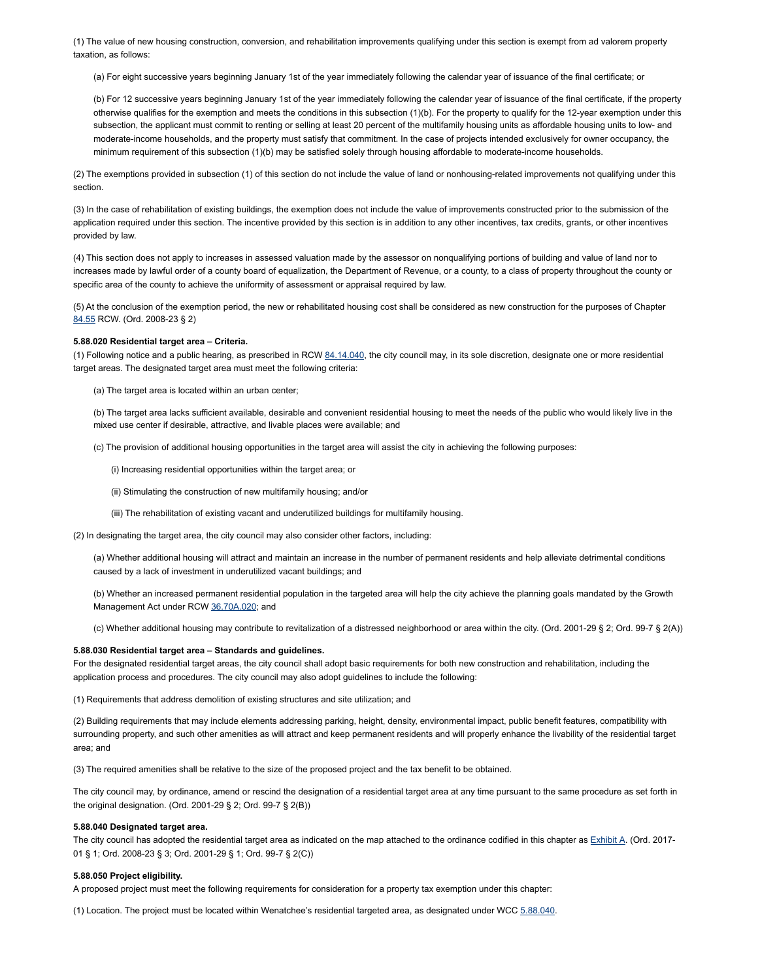(1) The value of new housing construction, conversion, and rehabilitation improvements qualifying under this section is exempt from ad valorem property taxation, as follows:

(a) For eight successive years beginning January 1st of the year immediately following the calendar year of issuance of the final certificate; or

(b) For 12 successive years beginning January 1st of the year immediately following the calendar year of issuance of the final certificate, if the property otherwise qualifies for the exemption and meets the conditions in this subsection (1)(b). For the property to qualify for the 12-year exemption under this subsection, the applicant must commit to renting or selling at least 20 percent of the multifamily housing units as affordable housing units to low- and moderate-income households, and the property must satisfy that commitment. In the case of projects intended exclusively for owner occupancy, the minimum requirement of this subsection (1)(b) may be satisfied solely through housing affordable to moderate-income households.

(2) The exemptions provided in subsection (1) of this section do not include the value of land or nonhousing-related improvements not qualifying under this section.

(3) In the case of rehabilitation of existing buildings, the exemption does not include the value of improvements constructed prior to the submission of the application required under this section. The incentive provided by this section is in addition to any other incentives, tax credits, grants, or other incentives provided by law.

(4) This section does not apply to increases in assessed valuation made by the assessor on nonqualifying portions of building and value of land nor to increases made by lawful order of a county board of equalization, the Department of Revenue, or a county, to a class of property throughout the county or specific area of the county to achieve the uniformity of assessment or appraisal required by law.

(5) At the conclusion of the exemption period, the new or rehabilitated housing cost shall be considered as new construction for the purposes of Chapter [84.55](https://www.codepublishing.com/cgi-bin/rcw.pl?cite=84.55) RCW. (Ord. 2008-23 § 2)

### <span id="page-1-0"></span>**5.88.020 Residential target area – Criteria.**

(1) Following notice and a public hearing, as prescribed in RCW [84.14.040,](https://www.codepublishing.com/cgi-bin/rcw.pl?cite=84.14.040) the city council may, in its sole discretion, designate one or more residential target areas. The designated target area must meet the following criteria:

(a) The target area is located within an urban center;

(b) The target area lacks sufficient available, desirable and convenient residential housing to meet the needs of the public who would likely live in the mixed use center if desirable, attractive, and livable places were available; and

(c) The provision of additional housing opportunities in the target area will assist the city in achieving the following purposes:

(i) Increasing residential opportunities within the target area; or

(ii) Stimulating the construction of new multifamily housing; and/or

(iii) The rehabilitation of existing vacant and underutilized buildings for multifamily housing.

(2) In designating the target area, the city council may also consider other factors, including:

(a) Whether additional housing will attract and maintain an increase in the number of permanent residents and help alleviate detrimental conditions caused by a lack of investment in underutilized vacant buildings; and

(b) Whether an increased permanent residential population in the targeted area will help the city achieve the planning goals mandated by the Growth Management Act under RCW [36.70A.020;](https://www.codepublishing.com/cgi-bin/rcw.pl?cite=36.70A.020) and

(c) Whether additional housing may contribute to revitalization of a distressed neighborhood or area within the city. (Ord. 2001-29 § 2; Ord. 99-7 § 2(A))

### <span id="page-1-1"></span>**5.88.030 Residential target area – Standards and guidelines.**

For the designated residential target areas, the city council shall adopt basic requirements for both new construction and rehabilitation, including the application process and procedures. The city council may also adopt guidelines to include the following:

(1) Requirements that address demolition of existing structures and site utilization; and

(2) Building requirements that may include elements addressing parking, height, density, environmental impact, public benefit features, compatibility with surrounding property, and such other amenities as will attract and keep permanent residents and will properly enhance the livability of the residential target area; and

(3) The required amenities shall be relative to the size of the proposed project and the tax benefit to be obtained.

The city council may, by ordinance, amend or rescind the designation of a residential target area at any time pursuant to the same procedure as set forth in the original designation. (Ord. 2001-29 § 2; Ord. 99-7 § 2(B))

# <span id="page-1-2"></span>**5.88.040 Designated target area.**

The city council has adopted the residential target area as indicated on the map attached to the ordinance codified in this chapter as [Exhibit](https://www.codepublishing.com/WA/Wenatchee/html/images/2017-01_ExhA.pdf) A. (Ord. 2017- 01 § 1; Ord. 2008-23 § 3; Ord. 2001-29 § 1; Ord. 99-7 § 2(C))

# <span id="page-1-3"></span>**5.88.050 Project eligibility.**

A proposed project must meet the following requirements for consideration for a property tax exemption under this chapter:

(1) Location. The project must be located within Wenatchee's residential targeted area, as designated under WCC [5.88.040.](#page-1-2)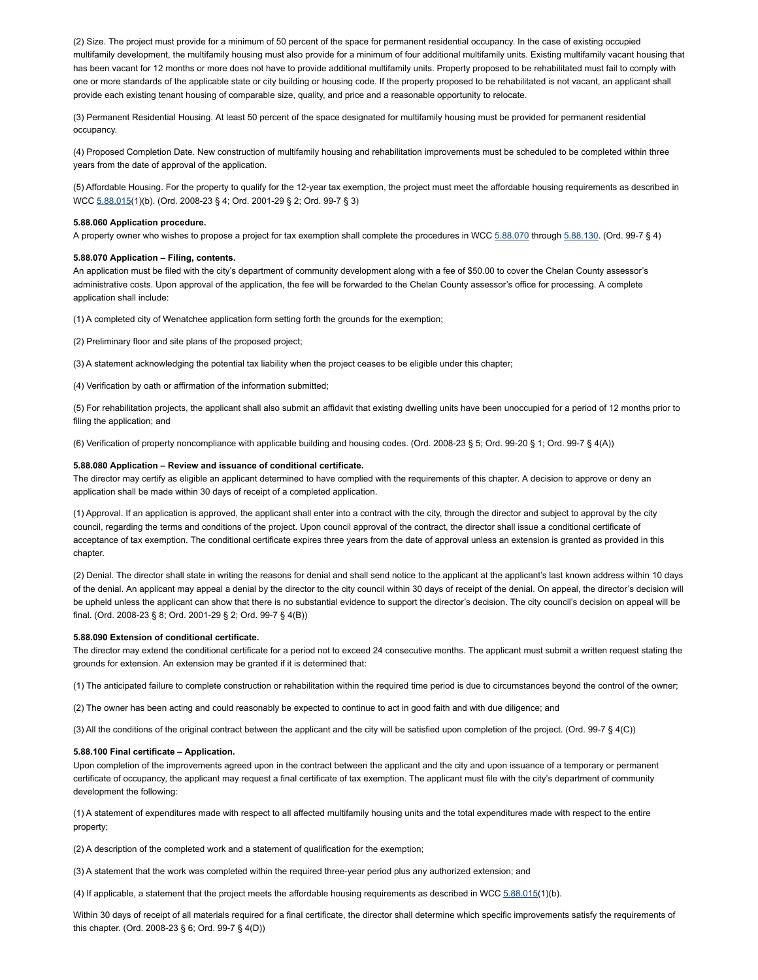(2) Size. The project must provide for a minimum of 50 percent of the space for permanent residential occupancy. In the case of existing occupied multifamily development, the multifamily housing must also provide for a minimum of four additional multifamily units. Existing multifamily vacant housing that has been vacant for 12 months or more does not have to provide additional multifamily units. Property proposed to be rehabilitated must fail to comply with one or more standards of the applicable state or city building or housing code. If the property proposed to be rehabilitated is not vacant, an applicant shall provide each existing tenant housing of comparable size, quality, and price and a reasonable opportunity to relocate.

(3) Permanent Residential Housing. At least 50 percent of the space designated for multifamily housing must be provided for permanent residential occupancy.

(4) Proposed Completion Date. New construction of multifamily housing and rehabilitation improvements must be scheduled to be completed within three years from the date of approval of the application.

(5) Affordable Housing. For the property to qualify for the 12-year tax exemption, the project must meet the affordable housing requirements as described in WCC [5.88.015](#page-0-1)(1)(b). (Ord. 2008-23 § 4; Ord. 2001-29 § 2; Ord. 99-7 § 3)

# <span id="page-2-0"></span>**5.88.060 Application procedure.**

A property owner who wishes to propose a project for tax exemption shall complete the procedures in WCC [5.88.070](#page-2-1) through [5.88.130](#page-3-2). (Ord. 99-7 § 4)

## <span id="page-2-1"></span>**5.88.070 Application – Filing, contents.**

An application must be filed with the city's department of community development along with a fee of \$50.00 to cover the Chelan County assessor's administrative costs. Upon approval of the application, the fee will be forwarded to the Chelan County assessor's office for processing. A complete application shall include:

(1) A completed city of Wenatchee application form setting forth the grounds for the exemption;

(2) Preliminary floor and site plans of the proposed project;

(3) A statement acknowledging the potential tax liability when the project ceases to be eligible under this chapter;

(4) Verification by oath or affirmation of the information submitted;

(5) For rehabilitation projects, the applicant shall also submit an affidavit that existing dwelling units have been unoccupied for a period of 12 months prior to filing the application; and

(6) Verification of property noncompliance with applicable building and housing codes. (Ord. 2008-23 § 5; Ord. 99-20 § 1; Ord. 99-7 § 4(A))

## <span id="page-2-2"></span>**5.88.080 Application – Review and issuance of conditional certificate.**

The director may certify as eligible an applicant determined to have complied with the requirements of this chapter. A decision to approve or deny an application shall be made within 30 days of receipt of a completed application.

(1) Approval. If an application is approved, the applicant shall enter into a contract with the city, through the director and subject to approval by the city council, regarding the terms and conditions of the project. Upon council approval of the contract, the director shall issue a conditional certificate of acceptance of tax exemption. The conditional certificate expires three years from the date of approval unless an extension is granted as provided in this chapter.

(2) Denial. The director shall state in writing the reasons for denial and shall send notice to the applicant at the applicant's last known address within 10 days of the denial. An applicant may appeal a denial by the director to the city council within 30 days of receipt of the denial. On appeal, the director's decision will be upheld unless the applicant can show that there is no substantial evidence to support the director's decision. The city council's decision on appeal will be final. (Ord. 2008-23 § 8; Ord. 2001-29 § 2; Ord. 99-7 § 4(B))

# <span id="page-2-3"></span>**5.88.090 Extension of conditional certificate.**

The director may extend the conditional certificate for a period not to exceed 24 consecutive months. The applicant must submit a written request stating the grounds for extension. An extension may be granted if it is determined that:

(1) The anticipated failure to complete construction or rehabilitation within the required time period is due to circumstances beyond the control of the owner;

(2) The owner has been acting and could reasonably be expected to continue to act in good faith and with due diligence; and

(3) All the conditions of the original contract between the applicant and the city will be satisfied upon completion of the project. (Ord. 99-7 § 4(C))

# <span id="page-2-4"></span>**5.88.100 Final certificate – Application.**

Upon completion of the improvements agreed upon in the contract between the applicant and the city and upon issuance of a temporary or permanent certificate of occupancy, the applicant may request a final certificate of tax exemption. The applicant must file with the city's department of community development the following:

(1) A statement of expenditures made with respect to all affected multifamily housing units and the total expenditures made with respect to the entire property;

(2) A description of the completed work and a statement of qualification for the exemption;

(3) A statement that the work was completed within the required three-year period plus any authorized extension; and

(4) If applicable, a statement that the project meets the affordable housing requirements as described in WCC [5.88.015](#page-0-1)(1)(b).

Within 30 days of receipt of all materials required for a final certificate, the director shall determine which specific improvements satisfy the requirements of this chapter. (Ord. 2008-23 § 6; Ord. 99-7 § 4(D))